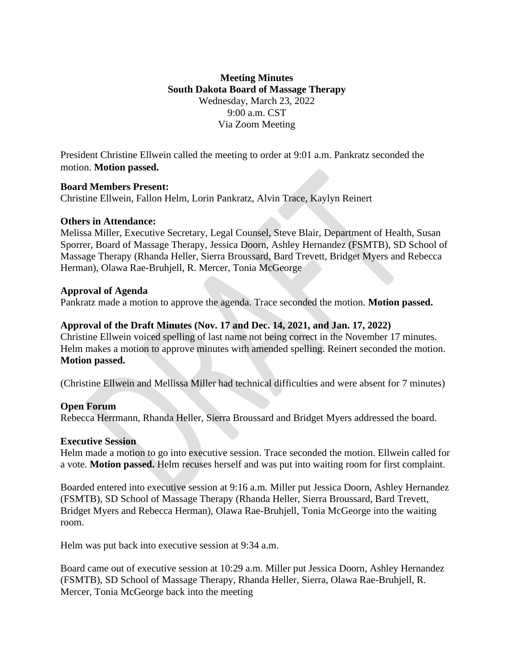# **Meeting Minutes South Dakota Board of Massage Therapy** Wednesday, March 23, 2022 9:00 a.m. CST Via Zoom Meeting

President Christine Ellwein called the meeting to order at 9:01 a.m. Pankratz seconded the motion. **Motion passed.**

## **Board Members Present:**

Christine Ellwein, Fallon Helm, Lorin Pankratz, Alvin Trace, Kaylyn Reinert

#### **Others in Attendance:**

Melissa Miller, Executive Secretary, Legal Counsel, Steve Blair, Department of Health, Susan Sporrer, Board of Massage Therapy, Jessica Doorn, Ashley Hernandez (FSMTB), SD School of Massage Therapy (Rhanda Heller, Sierra Broussard, Bard Trevett, Bridget Myers and Rebecca Herman), Olawa Rae-Bruhjell, R. Mercer, Tonia McGeorge

#### **Approval of Agenda**

Pankratz made a motion to approve the agenda. Trace seconded the motion. **Motion passed.**

## **Approval of the Draft Minutes (Nov. 17 and Dec. 14, 2021, and Jan. 17, 2022)**

Christine Ellwein voiced spelling of last name not being correct in the November 17 minutes. Helm makes a motion to approve minutes with amended spelling. Reinert seconded the motion. **Motion passed.**

(Christine Ellwein and Mellissa Miller had technical difficulties and were absent for 7 minutes)

## **Open Forum**

Rebecca Herrmann, Rhanda Heller, Sierra Broussard and Bridget Myers addressed the board.

## **Executive Session**

Helm made a motion to go into executive session. Trace seconded the motion. Ellwein called for a vote. **Motion passed.** Helm recuses herself and was put into waiting room for first complaint.

Boarded entered into executive session at 9:16 a.m. Miller put Jessica Doorn, Ashley Hernandez (FSMTB), SD School of Massage Therapy (Rhanda Heller, Sierra Broussard, Bard Trevett, Bridget Myers and Rebecca Herman), Olawa Rae-Bruhjell, Tonia McGeorge into the waiting room.

Helm was put back into executive session at 9:34 a.m.

Board came out of executive session at 10:29 a.m. Miller put Jessica Doorn, Ashley Hernandez (FSMTB), SD School of Massage Therapy, Rhanda Heller, Sierra, Olawa Rae-Bruhjell, R. Mercer, Tonia McGeorge back into the meeting